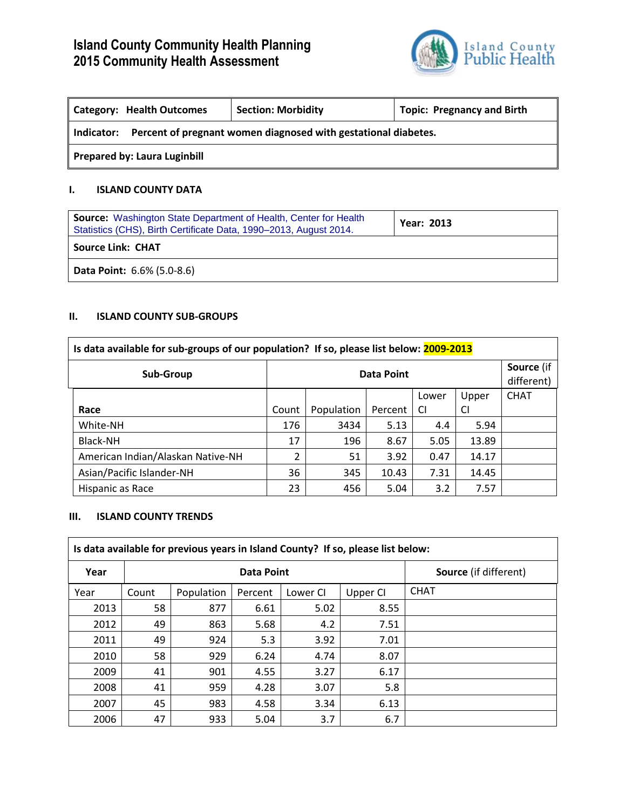

| <b>Category: Health Outcomes</b>                                             | <b>Section: Morbidity</b> | <b>Topic: Pregnancy and Birth</b> |  |  |  |
|------------------------------------------------------------------------------|---------------------------|-----------------------------------|--|--|--|
| Percent of pregnant women diagnosed with gestational diabetes.<br>Indicator: |                           |                                   |  |  |  |
| <b>Prepared by: Laura Luginbill</b>                                          |                           |                                   |  |  |  |

## **I. ISLAND COUNTY DATA**

| <b>Source:</b> Washington State Department of Health, Center for Health<br>Statistics (CHS), Birth Certificate Data, 1990–2013, August 2014. | <b>Year: 2013</b> |  |  |  |  |
|----------------------------------------------------------------------------------------------------------------------------------------------|-------------------|--|--|--|--|
| <b>Source Link: CHAT</b>                                                                                                                     |                   |  |  |  |  |
| <b>Data Point: 6.6% (5.0-8.6)</b>                                                                                                            |                   |  |  |  |  |

## **II. ISLAND COUNTY SUB-GROUPS**

| Is data available for sub-groups of our population? If so, please list below: 2009-2013 |            |            |         |           |       |                          |  |
|-----------------------------------------------------------------------------------------|------------|------------|---------|-----------|-------|--------------------------|--|
| Sub-Group                                                                               | Data Point |            |         |           |       | Source (if<br>different) |  |
|                                                                                         |            |            |         | Lower     | Upper | <b>CHAT</b>              |  |
| Race                                                                                    | Count      | Population | Percent | <b>CI</b> | CI    |                          |  |
| White-NH                                                                                | 176        | 3434       | 5.13    | 4.4       | 5.94  |                          |  |
| Black-NH                                                                                | 17         | 196        | 8.67    | 5.05      | 13.89 |                          |  |
| American Indian/Alaskan Native-NH                                                       | 2          | 51         | 3.92    | 0.47      | 14.17 |                          |  |
| Asian/Pacific Islander-NH                                                               | 36         | 345        | 10.43   | 7.31      | 14.45 |                          |  |
| Hispanic as Race                                                                        | 23         | 456        | 5.04    | 3.2       | 7.57  |                          |  |

#### **III. ISLAND COUNTY TRENDS**

| Is data available for previous years in Island County? If so, please list below: |            |            |         |          |          |                              |  |  |
|----------------------------------------------------------------------------------|------------|------------|---------|----------|----------|------------------------------|--|--|
| Year                                                                             | Data Point |            |         |          |          | <b>Source</b> (if different) |  |  |
| Year                                                                             | Count      | Population | Percent | Lower CI | Upper CI | <b>CHAT</b>                  |  |  |
| 2013                                                                             | 58         | 877        | 6.61    | 5.02     | 8.55     |                              |  |  |
| 2012                                                                             | 49         | 863        | 5.68    | 4.2      | 7.51     |                              |  |  |
| 2011                                                                             | 49         | 924        | 5.3     | 3.92     | 7.01     |                              |  |  |
| 2010                                                                             | 58         | 929        | 6.24    | 4.74     | 8.07     |                              |  |  |
| 2009                                                                             | 41         | 901        | 4.55    | 3.27     | 6.17     |                              |  |  |
| 2008                                                                             | 41         | 959        | 4.28    | 3.07     | 5.8      |                              |  |  |
| 2007                                                                             | 45         | 983        | 4.58    | 3.34     | 6.13     |                              |  |  |
| 2006                                                                             | 47         | 933        | 5.04    | 3.7      | 6.7      |                              |  |  |